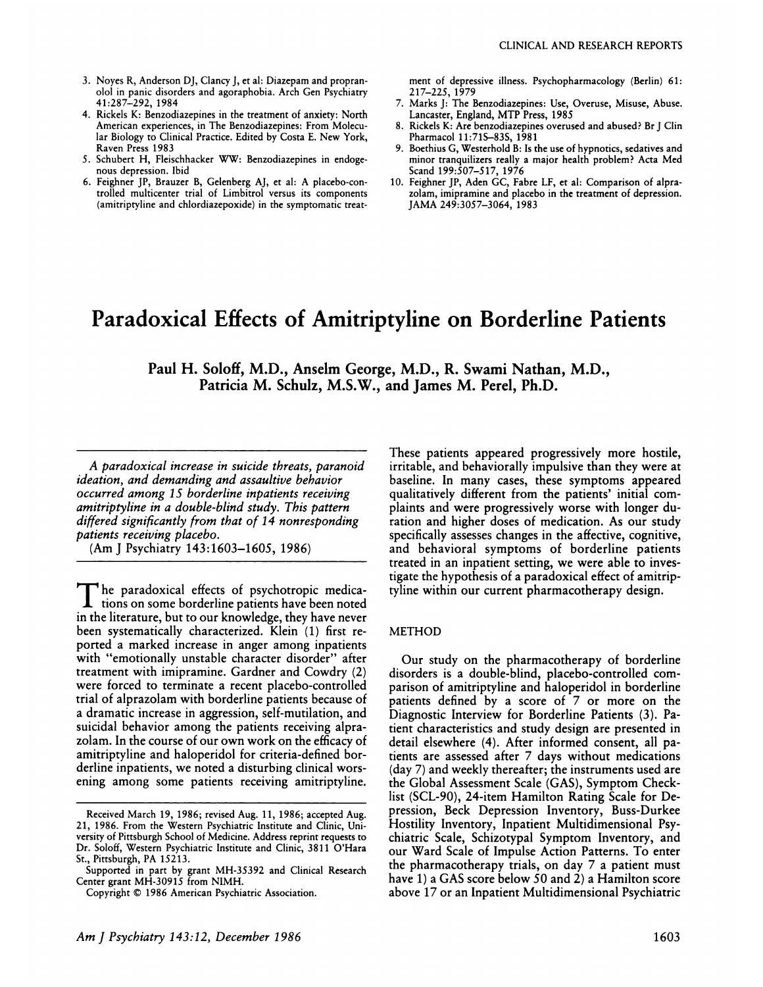- 3. Noyes R, Anderson DJ, Clancy J, et al: Diazepam and propranolol in panic disorders and agoraphobia. Arch Gen Psychiatry 41:287-292, 1984
- 4. Rickels K: Benzodiazepines in the treatment of anxiety: North American experiences, in The Benzodiazepines: From Molecular Biology to Clinical Practice. Edited by Costa E. New York, Raven Press 1983
- *S.* Schubert H, Fleischhacker WW: Benzodiazepines in endoge nous depression. Ibid
- 6. Feighner JP, Brauzer B, Gelenberg AJ, et al: A placebo-controlled multicenter trial of Limbitrol versus its components (amitriptyline and chlordiazepoxide) in the symptomatic treat-

ment of depressive illness. Psychopharmacology (Berlin) 61: 217-225, 1979

- 7. Marks J: The Benzodiazepines: Use, Overuse, Misuse, Abuse. Lancaster, England, MTP Press, 1985
- 8. Rickels K: Are benzodiazepines overused and abused? Br J Clin Pharmacol 11:715-835, 1981
- **9.** Boethius G, Westerhold B: Is the use of hypnotics, sedatives and minor tranquilizers really a major health problem? Acta Med Scand 199:507-517, 1976
- 10. Feighner JP, Aden GC, Fabre LF, et al: Comparison of alprazolam, imipramine and placebo in the treatment of depression. JAMA 249:3057-3064, 1983

## **Paradoxical Effects of Amitriptyline on Borderline Patients**

**Paul H. Soloff, M.D., Anselm George, M.D., R. Swami Nathan, M.D., Patricia M. Schulz, M.S.W., and James M. Perel, Ph.D.**

*A paradoxical increase in suicide threats, paranoid ideation, and demanding and assaultive behavior occurred among 1 5 borderline inpatients receiving amitriptyline in a double-blind study. This pattern differed significantly from that of I 4 nonresponding patients receiving placebo.*

(Am J Psychiatry 143:1603-1605, 1986)

The paradoxical effects of psychotropic medica**the contract of the solution** on some borderline patients have been noted in the literature, but to our knowledge, they have never been systematically characterized. Klein (1) first re ported a marked increase in anger among inpatients with "emotionally unstable character disorder" after treatment with imipramine. Gardner and Cowdry (2) were forced to terminate a recent placebo-controlled trial of alprazolam with borderline patients because of a dramatic increase in aggression, self-mutilation, and suicidal behavior among the patients receiving alpnazolam. In the course of our own work on the efficacy of amitriptyline and haloperidol for criteria-defined borderline inpatients, we noted a disturbing clinical worsening among some patients receiving amitriptyline.

These patients appeared progressively more hostile, irritable, and behaviorally impulsive than they were at baseline. In many cases, these symptoms appeared qualitatively different from the patients' initial com plaints and were progressively worse with longer duration and higher doses of medication. As our study specifically assesses changes in the affective, cognitive, and behavioral symptoms of borderline patients treated in an inpatient setting, we were able to investigate the hypothesis of a paradoxical effect of amitriptyline within our current pharmacotherapy design.

#### METHOD

Our study on the pharmacotherapy of borderline disorders is a double-blind, placebo-controlled com panison of amitriptyline and haloperidol in borderline patients defined by a score of 7 or more on the Diagnostic Interview for Borderline Patients (3). Patient characteristics and study design are presented in detail elsewhere (4). After informed consent, all patients are assessed after 7 days without medications (day 7) and weekly thereafter; the instruments used are the Global Assessment Scale (GAS), Symptom Checklist (SCL-90), 24-item Hamilton Rating Scale for Depression, Beck Depression Inventory, Buss-Durkee Hostility Inventory, Inpatient Multidimensional Psychiatric Scale, Schizotypal Symptom Inventory, and our Ward Scale of Impulse Action Patterns. To enter the pharmacotherapy trials, on day 7 a patient must have 1) a GAS score below SO and 2) a Hamilton score above 17 or an Inpatient Multidimensional Psychiatric

Received March 19, 1986; revised Aug. 11, 1986; accepted Aug. 21, 1986. From the Western Psychiatric Institute and Clinic, University of Pittsburgh School of Medicine. Address reprint requests to Dr. Soloff, Western Psychiatric Institute and Clinic, 3811 O'Hara St., Pittsburgh, PA 15213.

Supported in part by grant MH-35392 and Clinical Research Center grant MH-30915 from NIMH.

Copyright © 1986 American Psychiatric Association.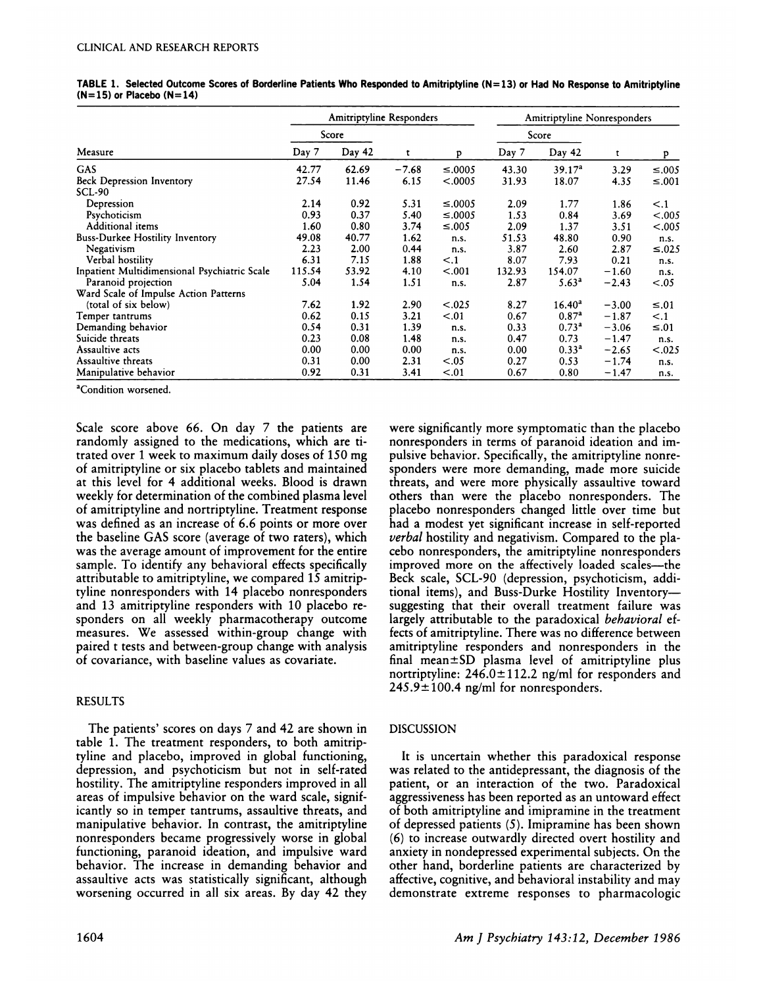|                                              | <b>Amitriptyline Responders</b> |        |         |              | <b>Amitriptyline Nonresponders</b> |                    |         |              |
|----------------------------------------------|---------------------------------|--------|---------|--------------|------------------------------------|--------------------|---------|--------------|
|                                              | Score                           |        |         |              | Score                              |                    |         |              |
| Measure                                      | Day 7                           | Day 42 | t       | p            | Day 7                              | Day 42             | t       | P            |
| GAS                                          | 42.77                           | 62.69  | $-7.68$ | $\leq$ .0005 | 43.30                              | 39.17 <sup>a</sup> | 3.29    | $\leq 0.005$ |
| <b>Beck Depression Inventory</b>             | 27.54                           | 11.46  | 6.15    | < .0005      | 31.93                              | 18.07              | 4.35    | ≤.001        |
| SCL-90                                       |                                 |        |         |              |                                    |                    |         |              |
| Depression                                   | 2.14                            | 0.92   | 5.31    | $\leq 0.005$ | 2.09                               | 1.77               | 1.86    | $\leq .1$    |
| Psychoticism                                 | 0.93                            | 0.37   | 5.40    | $\leq .0005$ | 1.53                               | 0.84               | 3.69    | < .005       |
| <b>Additional items</b>                      | 1.60                            | 0.80   | 3.74    | $\leq 0.05$  | 2.09                               | 1.37               | 3.51    | < .005       |
| <b>Buss-Durkee Hostility Inventory</b>       | 49.08                           | 40.77  | 1.62    | n.s.         | 51.53                              | 48.80              | 0.90    | n.s.         |
| Negativism                                   | 2.23                            | 2.00   | 0.44    | n.s.         | 3.87                               | 2.60               | 2.87    | $\leq .025$  |
| Verbal hostility                             | 6.31                            | 7.15   | 1.88    | $\leq$ .1    | 8.07                               | 7.93               | 0.21    | n.s.         |
| Inpatient Multidimensional Psychiatric Scale | 115.54                          | 53.92  | 4.10    | < .001       | 132.93                             | 154.07             | $-1.60$ | n.s.         |
| Paranoid projection                          | 5.04                            | 1.54   | 1.51    | n.s.         | 2.87                               | 5.63 <sup>a</sup>  | $-2.43$ | < .05        |
| Ward Scale of Impulse Action Patterns        |                                 |        |         |              |                                    |                    |         |              |
| (total of six below)                         | 7.62                            | 1.92   | 2.90    | < .025       | 8.27                               | $16.40^{a}$        | $-3.00$ | $\leq 0.01$  |
| Temper tantrums                              | 0.62                            | 0.15   | 3.21    | < 0.01       | 0.67                               | 0.87 <sup>a</sup>  | $-1.87$ | < 0.1        |
| Demanding behavior                           | 0.54                            | 0.31   | 1.39    | n.s.         | 0.33                               | 0.73 <sup>a</sup>  | $-3.06$ | ≤.01         |
| Suicide threats                              | 0.23                            | 0.08   | 1.48    | n.s.         | 0.47                               | 0.73               | $-1.47$ | n.s.         |
| Assaultive acts                              | 0.00                            | 0.00   | 0.00    | n.s.         | 0.00                               | 0.33 <sup>a</sup>  | $-2.65$ | < .025       |
| Assaultive threats                           | 0.31                            | 0.00   | 2.31    | < .05        | 0.27                               | 0.53               | $-1.74$ | n.s.         |
| Manipulative behavior                        | 0.92                            | 0.31   | 3.41    | < .01        | 0.67                               | 0.80               | $-1.47$ | n.s.         |

TABLE 1. Selected Outcome Scores of Borderline Patients Who Responded to Amitriptyline (N=13) or Had No Response to Amitriptyline (N=15) **or Placebo (N=14)**

<sup>a</sup>Condition worsened.

Scale score above 66. On day 7 the patients are randomly assigned to the medications, which are iitrated over 1 week to maximum daily doses of 150 mg of amitriptyline or six placebo tablets and maintained at this level for 4 additional weeks. Blood is drawn weekly for determination of the combined plasma level of amitriptyline and nortriptyline. Treatment response was defined as an increase of 6.6 points or more over the baseline GAS score (average of two raters), which was the average amount of improvement for the entire sample. To identify any behavioral effects specifically attributable to amitriptyline, we compared  $15$  amitriptyline nonresponders with 14 placebo nonresponders and 13 amitriptyline responders with 10 placebo responders on all weekly pharmacotherapy outcome measures. We assessed within-group change with paired t tests and between-group change with analysis of covariance, with baseline values as covariate.

## RESULTS

The patients' scores on days 7 and 42 are shown in table 1. The treatment responders, to both amitriptyline and placebo, improved in global functioning, depression, and psychoticism but not in self-rated hostility. The amitriptyline responders improved in all areas of impulsive behavior on the wand scale, significantly so in temper tantrums, assaultive threats, and manipulative behavior. In contrast, the amitriptyline nonresponders became progressively worse in global functioning, paranoid ideation, and impulsive ward behavior. The increase in demanding behavior and assaultive acts was statistically significant, although worsening occurred in all six areas. By day 42 they were significantly more symptomatic than the placebo nonresponders in terms of paranoid ideation and impulsive behavior. Specifically, the amitriptyline nonrespondens were more demanding, made more suicide threats, and were more physically assaultive toward others than were the placebo nonresponders. The placebo nonnesponders changed little over time but had a modest yet significant increase in self-reported *verbal* hostility and negativism. Compared to the placebo nonresponders, the amitriptyline nonresponders improved more on the affectively loaded scales-the Beck scale, SCL-90 (depression, psychoticism, additional items), and Buss-Durke Hostility Inventorysuggesting that their overall treatment failure was largely attributable to the paradoxical *behavioral* effects of amitriptyline. There was no difference between amitriptyline responders and nonresponders in the final mean $\pm$ SD plasma level of amitriptyline plus nortriptyline:  $246.0 \pm 112.2$  ng/ml for responders and  $245.9 \pm 100.4$  ng/ml for nonresponders.

## DISCUSSION

It is uncertain whether this paradoxical response was related to the antidepressant, the diagnosis of the patient, or an interaction of the two. Paradoxical aggressiveness has been reported as an untoward effect of both amitriptyline and imipramine in the treatment of depressed patients *(5).* Imipnamine has been shown (6) to increase outwardly directed overt hostility and anxiety in nondepressed experimental subjects. On the other hand, borderline patients are characterized by affective, cognitive, and behavioral instability and may demonstrate extreme responses to pharmacologic